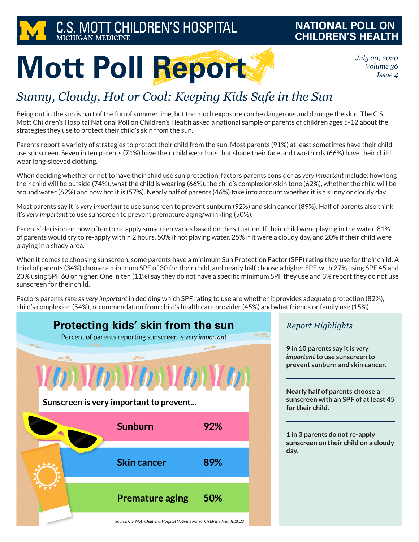

### **NATIONAL POLL ON CHILDREN'S HEALTH**

*July 20, 2020 Volume 36 Issue 4*

# **Mott Poll Report**

## *Sunny, Cloudy, Hot or Cool: Keeping Kids Safe in the Sun*

Being out in the sun is part of the fun of summertime, but too much exposure can be dangerous and damage the skin. The C.S. Mott Children's Hospital National Poll on Children's Health asked a national sample of parents of children ages 5-12 about the strategies they use to protect their child's skin from the sun.

Parents report a variety of strategies to protect their child from the sun. Most parents (91%) at least sometimes have their child use sunscreen. Seven in ten parents (71%) have their child wear hats that shade their face and two-thirds (66%) have their child wear long-sleeved clothing.

When deciding whether or not to have their child use sun protection, factors parents consider as *very important* include: how long their child will be outside (74%), what the child is wearing (66%), the child's complexion/skin tone (62%), whether the child will be around water (62%) and how hot it is (57%). Nearly half of parents (46%) take into account whether it is a sunny or cloudy day.

Most parents say it is *very important* to use sunscreen to prevent sunburn (92%) and skin cancer (89%). Half of parents also think it's *very important* to use sunscreen to prevent premature aging/wrinkling (50%).

Parents' decision on how often to re-apply sunscreen varies based on the situation. If their child were playing in the water, 81% of parents would try to re-apply within 2 hours, 50% if not playing water, 25% if it were a cloudy day, and 20% if their child were playing in a shady area.

When it comes to choosing sunscreen, some parents have a minimum Sun Protection Factor (SPF) rating they use for their child. A third of parents (34%) choose a minimum SPF of 30 for their child, and nearly half choose a higher SPF, with 27% using SPF 45 and 20% using SPF 60 or higher. One in ten (11%) say they do not have a specific minimum SPF they use and 3% report they do not use sunscreen for their child.

Factors parents rate as *very important* in deciding which SPF rating to use are whether it provides adequate protection (82%), child's complexion (54%), recommendation from child's health care provider (45%) and what friends or family use (15%).



*Report Highlights*

**9 in 10 parents say it is** *very important* **to use sunscreen to prevent sunburn and skin cancer.**

**Nearly half of parents choose a sunscreen with an SPF of at least 45 for their child.**

**1 in 3 parents do not re-apply sunscreen on their child on a cloudy day.**

Source: C.S. Mott Children's Hospital National Poll on Children's Health, 2020